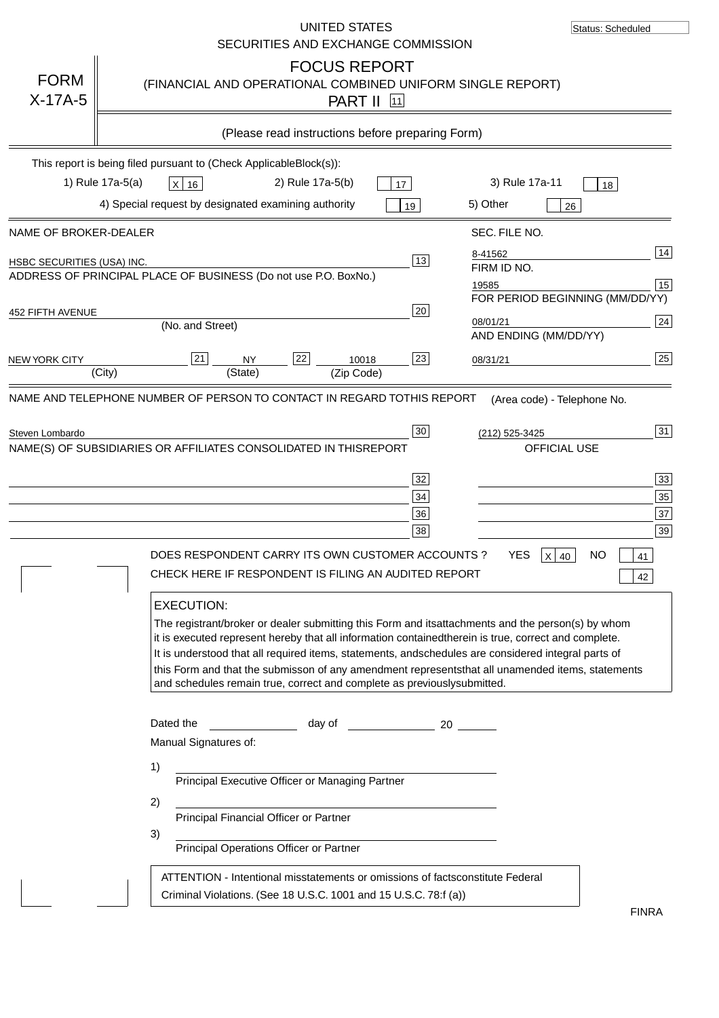|                            | UNITED STATES<br>SECURITIES AND EXCHANGE COMMISSION                                                                                                                                                                                                                                                                                                                                                                                                                                                                                                                                                                                                                        | Status: Scheduled                                                                                                                                                                                                         |
|----------------------------|----------------------------------------------------------------------------------------------------------------------------------------------------------------------------------------------------------------------------------------------------------------------------------------------------------------------------------------------------------------------------------------------------------------------------------------------------------------------------------------------------------------------------------------------------------------------------------------------------------------------------------------------------------------------------|---------------------------------------------------------------------------------------------------------------------------------------------------------------------------------------------------------------------------|
| <b>FORM</b><br>$X-17A-5$   | <b>FOCUS REPORT</b><br>(FINANCIAL AND OPERATIONAL COMBINED UNIFORM SINGLE REPORT)<br><b>PART II</b> 11                                                                                                                                                                                                                                                                                                                                                                                                                                                                                                                                                                     |                                                                                                                                                                                                                           |
|                            | (Please read instructions before preparing Form)                                                                                                                                                                                                                                                                                                                                                                                                                                                                                                                                                                                                                           |                                                                                                                                                                                                                           |
|                            | This report is being filed pursuant to (Check Applicable<br>$Block(s)$ :<br>1) Rule 17a-5(a)<br>2) Rule 17a-5(b)<br>3) Rule 17a-11<br>X 16<br>17<br>4) Special request by designated examining authority<br>5) Other<br>19                                                                                                                                                                                                                                                                                                                                                                                                                                                 | 18<br>26                                                                                                                                                                                                                  |
| NAME OF BROKER-DEALER      | SEC. FILE NO.                                                                                                                                                                                                                                                                                                                                                                                                                                                                                                                                                                                                                                                              |                                                                                                                                                                                                                           |
| HSBC SECURITIES (USA) INC. | 8-41562<br>13<br>FIRM ID NO.<br>ADDRESS OF PRINCIPAL PLACE OF BUSINESS (Do not use P.O. Box<br>No.)<br>19585<br>20                                                                                                                                                                                                                                                                                                                                                                                                                                                                                                                                                         | 14<br>15<br>FOR PERIOD BEGINNING (MM/DD/YY)                                                                                                                                                                               |
| 452 FIFTH AVENUE           | 08/01/21<br>(No. and Street)                                                                                                                                                                                                                                                                                                                                                                                                                                                                                                                                                                                                                                               | 24<br>AND ENDING (MM/DD/YY)                                                                                                                                                                                               |
| <b>NEW YORK CITY</b>       | 22<br>21<br>23<br><b>NY</b><br>10018<br>08/31/21<br>(State)<br>(City)<br>(Zip Code)                                                                                                                                                                                                                                                                                                                                                                                                                                                                                                                                                                                        | 25                                                                                                                                                                                                                        |
| Steven Lombardo            | $30\,$<br>(212) 525-3425<br>NAME(S) OF SUBSIDIARIES OR AFFILIATES CONSOLIDATED IN THIS<br><b>REPORT</b><br>32<br>34<br>36<br>38<br><b>YES</b><br>DOES RESPONDENT CARRY ITS OWN CUSTOMER ACCOUNTS?<br>CHECK HERE IF RESPONDENT IS FILING AN AUDITED REPORT<br><b>EXECUTION:</b><br>The registrant/broker or dealer submitting this Form and its<br>it is executed represent hereby that all information contained<br>It is understood that all required items, statements, and<br>schedules are considered integral parts of<br>this Form and that the submisson of any amendment represents<br>and schedules remain true, correct and complete as previously<br>submitted. | 31<br><b>OFFICIAL USE</b><br>33<br>35<br>37<br>39<br>$x$ 40<br><b>NO</b><br>$ 41\rangle$<br>42<br>attachments and the person(s) by whom<br>therein is true, correct and complete.<br>that all unamended items, statements |
|                            | Dated the<br>day of the control of the control of the control of the control of the control of the control of the control o<br>20<br>Manual Signatures of:<br>1)<br>Principal Executive Officer or Managing Partner<br>2)<br>Principal Financial Officer or Partner<br>3)<br>Principal Operations Officer or Partner<br>ATTENTION - Intentional misstatements or omissions of facts<br>constitute Federal<br>Criminal Violations. (See 18 U.S.C. 1001 and 15 U.S.C. 78:f (a)                                                                                                                                                                                               |                                                                                                                                                                                                                           |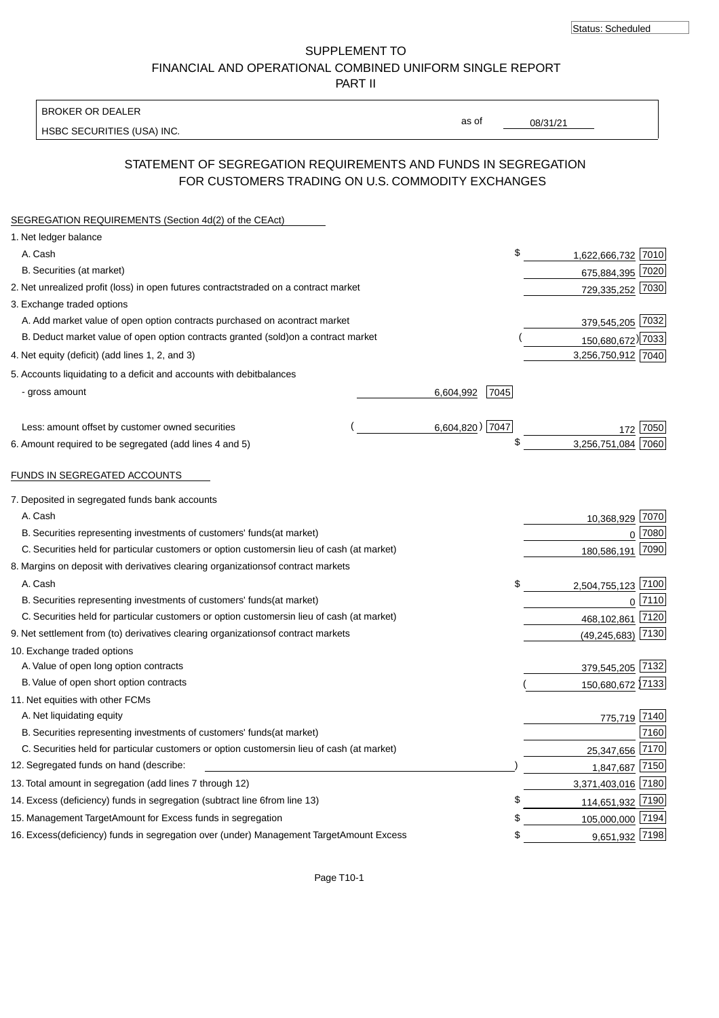SUPPLEMENT TO FINANCIAL AND OPERATIONAL COMBINED UNIFORM SINGLE REPORT PART II

BROKER OR DEALER

HSBC SECURITIES (USA) INC.

08/31/21

as of

# STATEMENT OF SEGREGATION REQUIREMENTS AND FUNDS IN SEGREGATION FOR CUSTOMERS TRADING ON U.S. COMMODITY EXCHANGES

| SEGREGATION REQUIREMENTS (Section 4d(2) of the CEAct)                                          |                   |                          |           |
|------------------------------------------------------------------------------------------------|-------------------|--------------------------|-----------|
| 1. Net ledger balance                                                                          |                   |                          |           |
| A. Cash                                                                                        |                   | \$<br>1,622,666,732 7010 |           |
| B. Securities (at market)                                                                      |                   | 675,884,395 7020         |           |
| 2. Net unrealized profit (loss) in open futures contracts<br>traded on a contract market       |                   | 729,335,252 7030         |           |
| 3. Exchange traded options                                                                     |                   |                          |           |
| A. Add market value of open option contracts purchased on a<br>contract market                 |                   | 379,545,205 7032         |           |
| B. Deduct market value of open option contracts granted (sold)<br>on a contract market         |                   | 150,680,672) 7033        |           |
| 4. Net equity (deficit) (add lines 1, 2, and 3)                                                |                   | 3,256,750,912 7040       |           |
| 5. Accounts liquidating to a deficit and accounts with debit<br>balances                       |                   |                          |           |
| - gross amount                                                                                 | 7045<br>6,604,992 |                          |           |
|                                                                                                |                   |                          |           |
| Less: amount offset by customer owned securities                                               | 6,604,820) 7047   |                          | 7050      |
| 6. Amount required to be segregated (add lines 4 and 5)                                        |                   | \$<br>3,256,751,084      | 7060      |
|                                                                                                |                   |                          |           |
| FUNDS IN SEGREGATED ACCOUNTS                                                                   |                   |                          |           |
| 7. Deposited in segregated funds bank accounts                                                 |                   |                          |           |
| A. Cash                                                                                        |                   | 10,368,929 7070          |           |
| B. Securities representing investments of customers' funds<br>(at market)                      |                   | $\Omega$                 | 7080      |
| C. Securities held for particular customers or option customers<br>in lieu of cash (at market) |                   | 180,586,191 7090         |           |
| 8. Margins on deposit with derivatives clearing organizations<br>of contract markets           |                   |                          |           |
| A. Cash                                                                                        |                   | \$<br>2,504,755,123 7100 |           |
| B. Securities representing investments of customers' funds<br>(at market)                      |                   |                          | $0$  7110 |
| C. Securities held for particular customers or option customers<br>in lieu of cash (at market) |                   | 468,102,861 7120         |           |
| 9. Net settlement from (to) derivatives clearing organizations<br>of contract markets          |                   | (49, 245, 683)           | 7130      |
| 10. Exchange traded options                                                                    |                   |                          |           |
| A. Value of open long option contracts                                                         |                   | 379,545,205 7132         |           |
| B. Value of open short option contracts                                                        |                   | 150,680,672 7133         |           |
| 11. Net equities with other FCMs                                                               |                   |                          |           |
| A. Net liquidating equity                                                                      |                   | 775,719 7140             |           |
| B. Securities representing investments of customers' funds<br>(at market)                      |                   |                          | 7160      |
| C. Securities held for particular customers or option customers<br>in lieu of cash (at market) |                   | 25,347,656               | 7170      |
| 12. Segregated funds on hand (describe:                                                        |                   | 1,847,687 7150           |           |
| 13. Total amount in segregation (add lines 7 through 12)                                       |                   | 3,371,403,016 7180       |           |
| 14. Excess (deficiency) funds in segregation (subtract line 6 from line 13)                    | \$                | 114,651,932 7190         |           |
| 15. Management Target Amount for Excess funds in segregation                                   |                   | 105,000,000 7194<br>\$   |           |
| 16. Excess (deficiency) funds in segregation over (under) Management Target Amount Excess      |                   | 9,651,932 7198<br>\$     |           |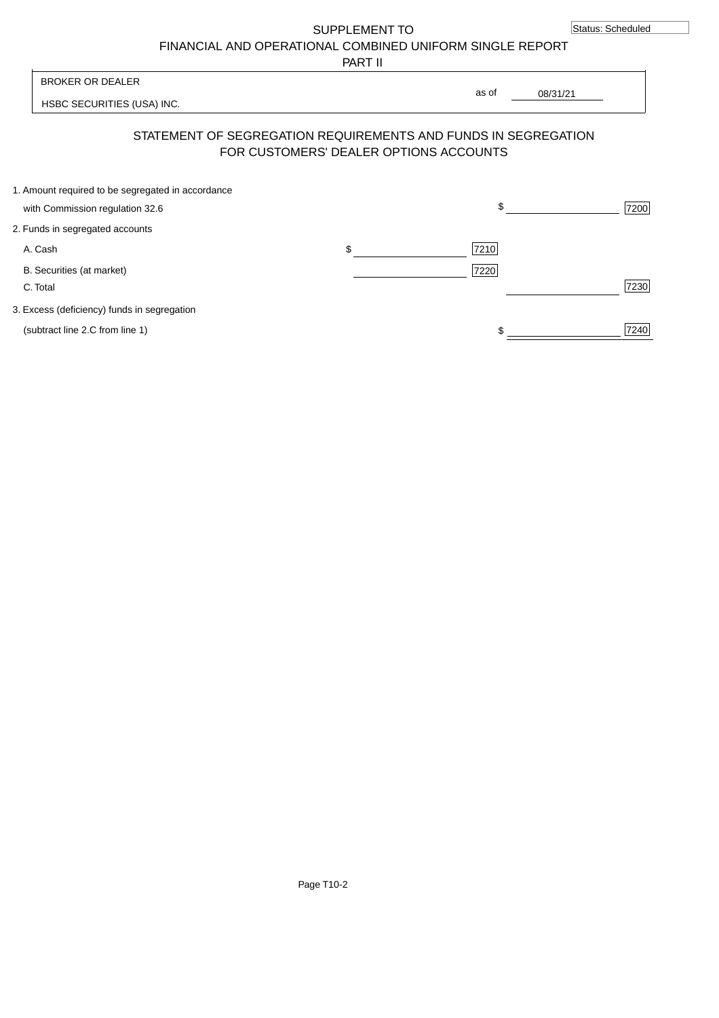SUPPLEMENT TO

FINANCIAL AND OPERATIONAL COMBINED UNIFORM SINGLE REPORT

PART II

HSBC SECURITIES (USA) INC. 08/31/21 BROKER OR DEALER as of

## STATEMENT OF SEGREGATION REQUIREMENTS AND FUNDS IN SEGREGATION FOR CUSTOMERS' DEALER OPTIONS ACCOUNTS

| 1. Amount required to be segregated in accordance |            |      |
|---------------------------------------------------|------------|------|
| with Commission regulation 32.6                   | \$         | 7200 |
| 2. Funds in segregated accounts                   |            |      |
| A. Cash                                           | \$<br>7210 |      |
| B. Securities (at market)                         | 7220       |      |
| C. Total                                          |            | 7230 |
| 3. Excess (deficiency) funds in segregation       |            |      |
| (subtract line 2.C from line 1)                   |            | 7240 |
|                                                   |            |      |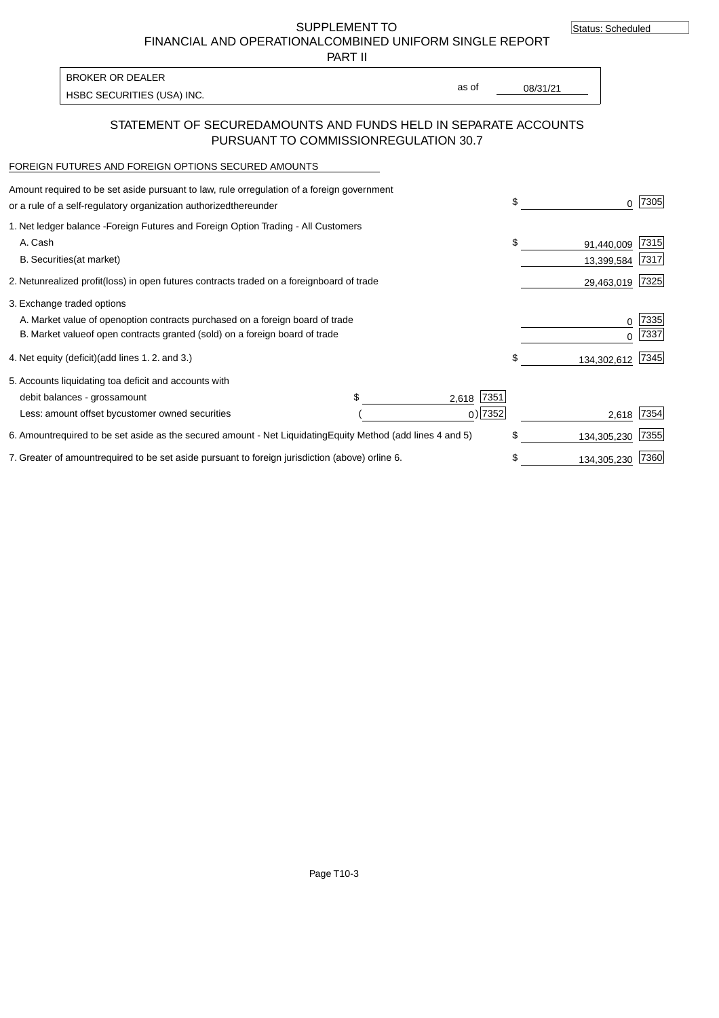SUPPLEMENT TO FINANCIAL AND OPERATIONAL COMBINED UNIFORM SINGLE REPORT

PART II

HSBC SECURITIES (USA) INC. The state of the second second second second second second second second second second second second second second second second second second second second second second second second second sec BROKER OR DEALER

as of

## STATEMENT OF SECURED AMOUNTS AND FUNDS HELD IN SEPARATE ACCOUNTS PURSUANT TO COMMISSION REGULATION 30.7

#### FOREIGN FUTURES AND FOREIGN OPTIONS SECURED AMOUNTS

| Amount required to be set aside pursuant to law, rule or<br>regulation of a foreign government<br>or a rule of a self-regulatory organization authorized<br>thereunder                       |                                   | \$                             | 7305         |
|----------------------------------------------------------------------------------------------------------------------------------------------------------------------------------------------|-----------------------------------|--------------------------------|--------------|
| 1. Net ledger balance - Foreign Futures and Foreign Option Trading - All Customers<br>A. Cash<br><b>B.</b> Securities<br>(at market)                                                         |                                   | \$<br>91,440,009<br>13,399,584 | 7315<br>7317 |
| unrealized profit (loss) in open futures contracts traded on a foreign board of trade<br>2. Net                                                                                              |                                   | 29,463,019                     | 7325         |
| 3. Exchange traded options<br>A. Market value of open option contracts purchased on a foreign board of trade<br>B. Market value of open contracts granted (sold) on a foreign board of trade |                                   | 0                              | 7335<br>7337 |
| (add lines 1.2. and 3.)<br>4. Net equity (deficit)                                                                                                                                           |                                   | \$<br>134,302,612              | 7345         |
| 5. Accounts liquidating to a deficit and accounts with<br>debit balances - gross<br>amount<br>Less: amount offset by customer owned securities                                               | 7351<br>2,618<br>$_0$ ) 7352      | 2,618                          | 7354         |
| 6. Amount required to be set aside as the secured amount - Net Liquidating                                                                                                                   | Equity Method (add lines 4 and 5) | \$<br>134,305,230              | 7355         |
| 7. Greater of amount required to be set aside pursuant to foreign jurisdiction (above) or line 6.                                                                                            |                                   | 134,305,230                    | 7360         |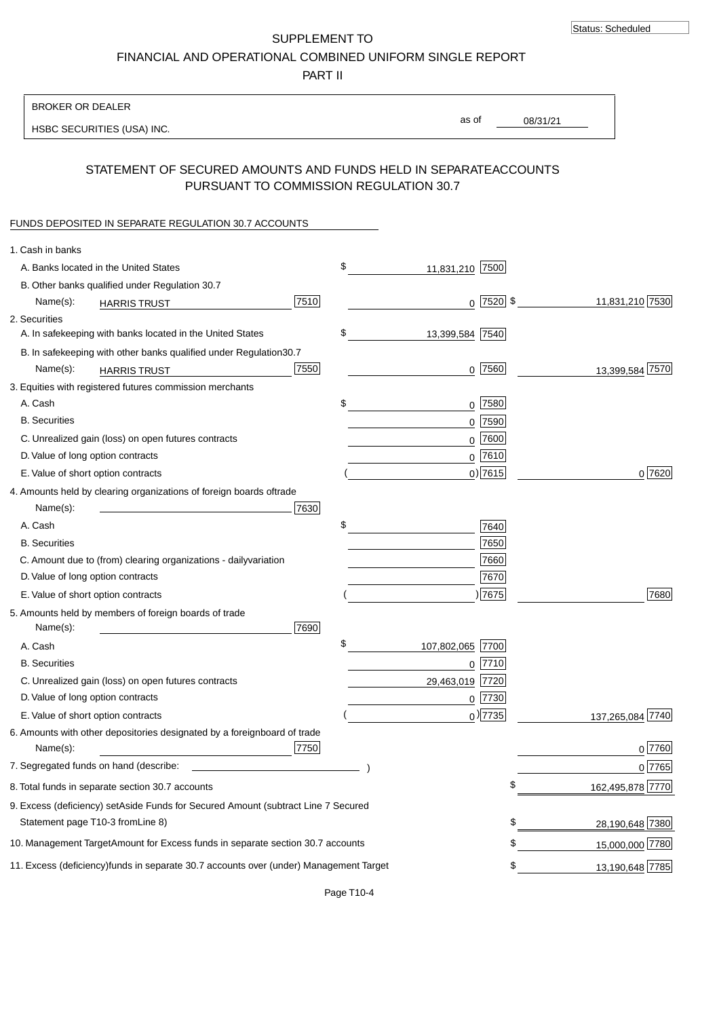SUPPLEMENT TO FINANCIAL AND OPERATIONAL COMBINED UNIFORM SINGLE REPORT

PART II

| <b>BROKER OR DEALER</b>                                                                           |                        |                 |                  |
|---------------------------------------------------------------------------------------------------|------------------------|-----------------|------------------|
| HSBC SECURITIES (USA) INC.                                                                        | as of                  | 08/31/21        |                  |
| STATEMENT OF SECURED AMOUNTS AND FUNDS HELD IN SEPARATE<br>PURSUANT TO COMMISSION REGULATION 30.7 |                        | <b>ACCOUNTS</b> |                  |
| FUNDS DEPOSITED IN SEPARATE REGULATION 30.7 ACCOUNTS                                              |                        |                 |                  |
| 1. Cash in banks                                                                                  |                        |                 |                  |
| A. Banks located in the United States                                                             | \$<br>11,831,210 7500  |                 |                  |
| B. Other banks qualified under Regulation 30.7                                                    |                        |                 |                  |
| 7510<br>Name(s):<br><b>HARRIS TRUST</b>                                                           | $0$  7520  \$          |                 | 11,831,210 7530  |
| 2. Securities                                                                                     |                        |                 |                  |
| A. In safekeeping with banks located in the United States                                         | \$<br>13,399,584 7540  |                 |                  |
| 30.7<br>B. In safekeeping with other banks qualified under Regulation                             |                        |                 |                  |
| 7550<br>Name(s):<br><b>HARRIS TRUST</b>                                                           | $0$ 7560               |                 | 13,399,584 7570  |
| 3. Equities with registered futures commission merchants                                          |                        |                 |                  |
| A. Cash                                                                                           | \$<br>$0$ 7580         |                 |                  |
| <b>B.</b> Securities                                                                              | $0$ 7590               |                 |                  |
| C. Unrealized gain (loss) on open futures contracts                                               | $0$ 7600               |                 |                  |
| D. Value of long option contracts                                                                 | $0$ 7610               |                 |                  |
| E. Value of short option contracts                                                                | $0$ ) 7615             |                 | 0 7620           |
| 4. Amounts held by clearing organizations of foreign boards of<br>trade                           |                        |                 |                  |
| 7630<br>Name(s):                                                                                  |                        |                 |                  |
| A. Cash                                                                                           | \$<br>7640             |                 |                  |
| <b>B.</b> Securities                                                                              | 7650                   |                 |                  |
| C. Amount due to (from) clearing organizations - daily<br>variation                               | 7660                   |                 |                  |
| D. Value of long option contracts                                                                 | 7670                   |                 |                  |
| E. Value of short option contracts                                                                | )7675                  |                 | 7680             |
| 5. Amounts held by members of foreign boards of trade<br>Name(s):<br>7690                         |                        |                 |                  |
| A. Cash                                                                                           | \$<br>107,802,065 7700 |                 |                  |
| <b>B.</b> Securities                                                                              | 0 7710                 |                 |                  |
| C. Unrealized gain (loss) on open futures contracts                                               | 7720<br>29,463,019     |                 |                  |
| D. Value of long option contracts                                                                 | $0$ 7730               |                 |                  |
| E. Value of short option contracts                                                                | $0$ ) 7735             |                 | 137,265,084 7740 |
| 6. Amounts with other depositories designated by a foreign<br>board of trade<br>7750<br>Name(s):  |                        |                 | 0 7760           |
| 7. Segregated funds on hand (describe:                                                            |                        |                 | 0 7765           |
| 8. Total funds in separate section 30.7 accounts                                                  |                        | \$              | 162,495,878 7770 |
| 9. Excess (deficiency) set Aside Funds for Secured Amount (subtract Line 7 Secured                |                        |                 |                  |
| Statement page T10-3 from Line 8)                                                                 |                        | \$              | 28,190,648 7380  |
| 10. Management Target Amount for Excess funds in separate section 30.7 accounts                   |                        | \$              | 15,000,000 7780  |
| 11. Excess (deficiency) funds in separate 30.7 accounts over (under) Management Target            |                        | \$              | 13,190,648 7785  |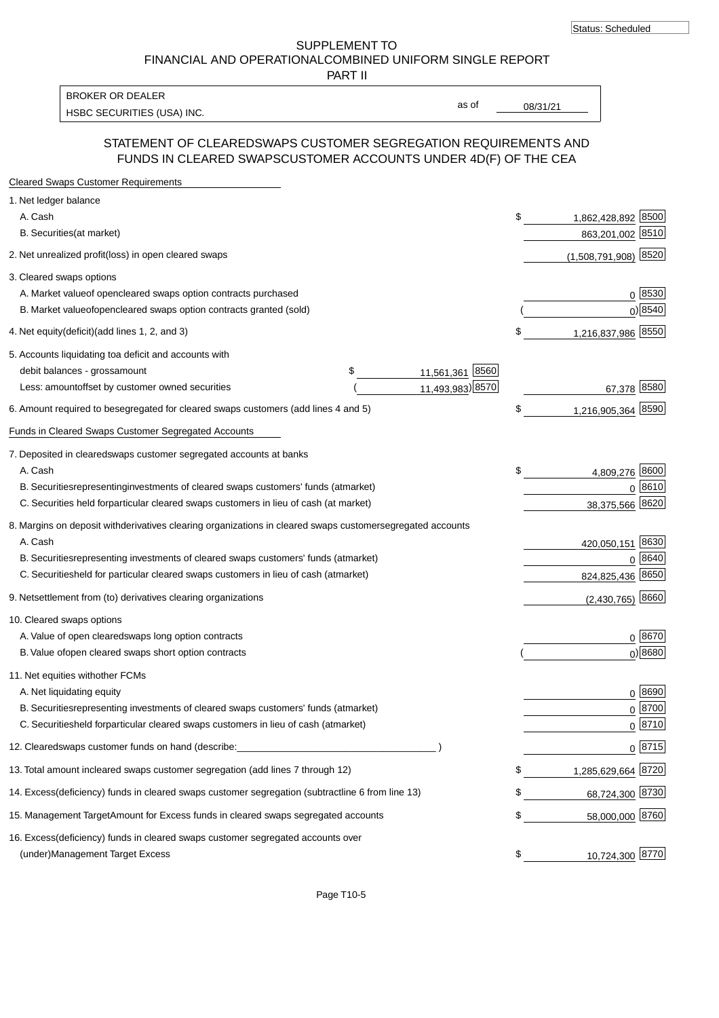SUPPLEMENT TO FINANCIAL AND OPERATIONAL COMBINED UNIFORM SINGLE REPORT

PART II

HSBC SECURITIES (USA) INC. The state of the set of the set of the set of the set of the set of the set of the set of the set of the set of the set of the set of the set of the set of the set of the set of the set of the se BROKER OR DEALER

as of

## STATEMENT OF CLEARED SWAPS CUSTOMER SEGREGATION REQUIREMENTS AND FUNDS IN CLEARED SWAPS CUSTOMER ACCOUNTS UNDER 4D(F) OF THE CEA

| <b>Cleared Swaps Customer Requirements</b>                                                                  |                          |                    |
|-------------------------------------------------------------------------------------------------------------|--------------------------|--------------------|
| 1. Net ledger balance                                                                                       |                          |                    |
| A. Cash                                                                                                     | \$<br>1,862,428,892      | 8500               |
| B. Securities (at market)                                                                                   | 863,201,002 8510         |                    |
| 2. Net unrealized profit (loss) in open cleared swaps                                                       | (1,508,791,908) 8520     |                    |
| 3. Cleared swaps options                                                                                    |                          |                    |
| A. Market value of open cleared swaps option contracts purchased                                            |                          | $0 \; 8530$        |
| B. Market value of open cleared swaps option contracts granted (sold)                                       |                          | $0)$ 8540          |
| 4. Net equity (deficit) (add lines 1, 2, and 3)                                                             | 1,216,837,986 8550<br>\$ |                    |
| 5. Accounts liquidating to a deficit and accounts with                                                      |                          |                    |
| 11,561,361 8560<br>debit balances - gross amount<br>\$                                                      |                          |                    |
| 11,493,983) 8570<br>Less: amount offset by customer owned securities                                        | 67,378 8580              |                    |
| 6. Amount required to be segregated for cleared swaps customers (add lines 4 and 5)                         | 1,216,905,364 8590<br>\$ |                    |
| Funds in Cleared Swaps Customer Segregated Accounts                                                         |                          |                    |
| 7. Deposited in cleared swaps customer segregated accounts at banks                                         |                          |                    |
| A. Cash                                                                                                     | 4,809,276 8600<br>\$     |                    |
| B. Securities representing investments of cleared swaps customers' funds (at market)                        |                          | 0 8610             |
| C. Securities held for particular cleared swaps customers in lieu of cash (at market)                       | 38,375,566 8620          |                    |
| 8. Margins on deposit with derivatives clearing organizations in cleared swaps customer segregated accounts |                          |                    |
| A. Cash                                                                                                     | 420,050,151 8630         |                    |
| B. Securities representing investments of cleared swaps customers' funds (at market)                        | $\Omega$                 | 8640               |
| C. Securities<br>held for particular cleared swaps customers in lieu of cash (at market)                    | 824,825,436 8650         |                    |
| 9. Net settlement from (to) derivatives clearing organizations                                              | $(2,430,765)$ 8660       |                    |
| 10. Cleared swaps options                                                                                   |                          |                    |
| A. Value of open cleared swaps long option contracts                                                        |                          | $0^{8670}$         |
| B. Value of open cleared swaps short option contracts                                                       |                          | $0$ ) 8680         |
| 11. Net equities with other FCMs                                                                            |                          |                    |
| A. Net liquidating equity                                                                                   |                          | $0^{8690}$         |
| B. Securities representing investments of cleared swaps customers' funds (at market)                        |                          | $0 \frac{8700}{ }$ |
| C. Securities held for particular cleared swaps customers in lieu of cash (at market)                       |                          | 0 8710             |
| 12. Cleared swaps customer funds on hand (describe:                                                         |                          | $0 \frac{8715}{ }$ |
| 13. Total amount in cleared swaps customer segregation (add lines 7 through 12)                             | 1,285,629,664 8720<br>\$ |                    |
| 14. Excess (deficiency) funds in cleared swaps customer segregation (subtract line 6 from line 13)          | 68,724,300 8730          |                    |
| 15. Management Target Amount for Excess funds in cleared swaps segregated accounts                          | 58,000,000 8760<br>\$    |                    |
| 16. Excess<br>(deficiency) funds in cleared swaps customer segregated accounts over                         |                          |                    |
| <b>Management Target Excess</b><br>(under)                                                                  | 10,724,300 8770<br>\$    |                    |